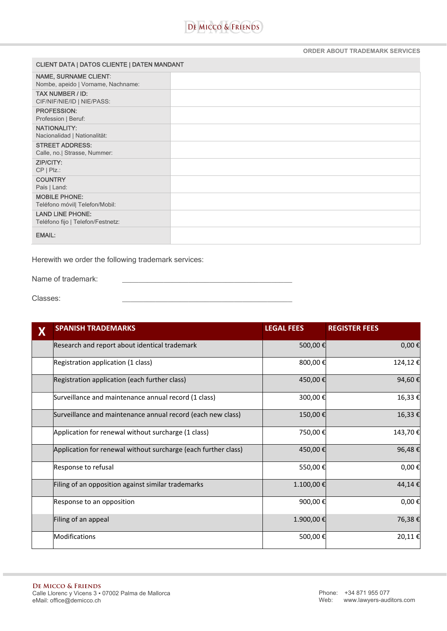

## **ORDER ABOUT TRADEMARK SERVICES**

| <b>CLIENT DATA   DATOS CLIENTE   DATEN MANDANT</b> |  |  |  |  |
|----------------------------------------------------|--|--|--|--|
| <b>NAME, SURNAME CLIENT:</b>                       |  |  |  |  |
| Nombe, apeido   Vorname, Nachname:                 |  |  |  |  |
| <b>TAX NUMBER / ID:</b>                            |  |  |  |  |
| CIF/NIF/NIE/ID   NIE/PASS:                         |  |  |  |  |
| <b>PROFESSION:</b>                                 |  |  |  |  |
| Profession   Beruf:                                |  |  |  |  |
| <b>NATIONALITY:</b>                                |  |  |  |  |
| Nacionalidad   Nationalität:                       |  |  |  |  |
| <b>STREET ADDRESS:</b>                             |  |  |  |  |
| Calle, no.  Strasse, Nummer:                       |  |  |  |  |
| <b>ZIP/CITY:</b>                                   |  |  |  |  |
| $CP   P   z$ .:                                    |  |  |  |  |
| <b>COUNTRY</b>                                     |  |  |  |  |
| País   Land:                                       |  |  |  |  |
| <b>MOBILE PHONE:</b>                               |  |  |  |  |
| Teléfono móvil  Telefon/Mobil:                     |  |  |  |  |
| <b>LAND LINE PHONE:</b>                            |  |  |  |  |
| Teléfono fijo   Telefon/Festnetz:                  |  |  |  |  |
| <b>EMAIL:</b>                                      |  |  |  |  |

Herewith we order the following trademark services:

Name of trademark:

Classes:

| X | <b>SPANISH TRADEMARKS</b>                                      | <b>LEGAL FEES</b> | <b>REGISTER FEES</b> |
|---|----------------------------------------------------------------|-------------------|----------------------|
|   | Research and report about identical trademark                  | 500,00€           | $0,00 \in$           |
|   | Registration application (1 class)                             | 800,00€           | 124,12€              |
|   | Registration application (each further class)                  | 450,00€           | 94,60€               |
|   | Surveillance and maintenance annual record (1 class)           | 300,00€           | 16,33€               |
|   | Surveillance and maintenance annual record (each new class)    | 150,00€           | 16,33€               |
|   | Application for renewal without surcharge (1 class)            | 750,00€           | 143,70€              |
|   | Application for renewal without surcharge (each further class) | 450,00€           | 96,48€               |
|   | Response to refusal                                            | 550,00€           | 0,00€                |
|   | Filing of an opposition against similar trademarks             | 1.100,00€         | 44,14€               |
|   | Response to an opposition                                      | 900,00€           | 0,00€                |
|   | Filing of an appeal                                            | 1.900,00€         | 76,38€               |
|   | <b>Modifications</b>                                           | 500,00€           | 20,11€               |